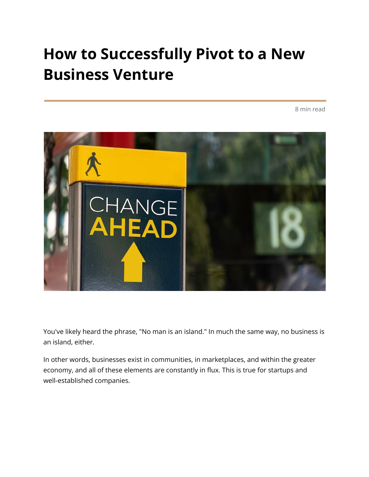### **How to Successfully Pivot to a New Business Venture**

8 min read



You've likely heard the phrase, "No man is an island." In much the same way, no business is an island, either.

In other words, businesses exist in communities, in marketplaces, and within the greater economy, and all of these elements are constantly in flux. This is true for startups and well-established companies.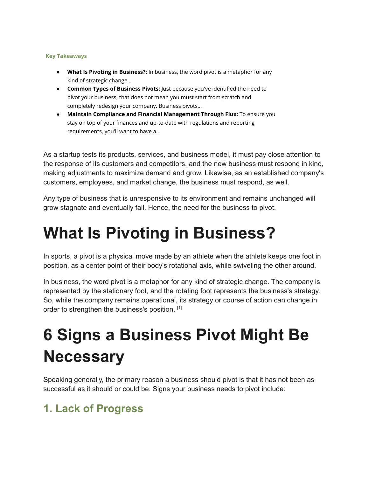#### **Key Takeaways**

- **● What Is Pivoting in Business?:** In business, the word pivot is a metaphor for any kind of strategic change...
- **Common Types of Business Pivots:** Just because you've identified the need to pivot your business, that does not mean you must start from scratch and completely redesign your company. Business pivots…
- **● Maintain Compliance and Financial Management Through Flux:** To ensure you stay on top of your finances and up-to-date with regulations and reporting requirements, you'll want to have a...

As a startup tests its products, services, and business model, it must pay close attention to the response of its customers and competitors, and the new business must respond in kind, making adjustments to maximize demand and grow. Likewise, as an established company's customers, employees, and market change, the business must respond, as well.

Any type of business that is unresponsive to its environment and remains unchanged will grow stagnate and eventually fail. Hence, the need for the business to pivot.

### **What Is Pivoting in Business?**

In sports, a pivot is a physical move made by an athlete when the athlete keeps one foot in position, as a center point of their body's rotational axis, while swiveling the other around.

In business, the word pivot is a metaphor for any kind of strategic change. The company is represented by the stationary foot, and the rotating foot represents the business's strategy. So, while the company remains operational, its strategy or course of action can change in order to strengthen the business's position. [1]

## **6 Signs a Business Pivot Might Be Necessary**

Speaking generally, the primary reason a business should pivot is that it has not been as successful as it should or could be. Signs your business needs to pivot include:

#### **1. Lack of Progress**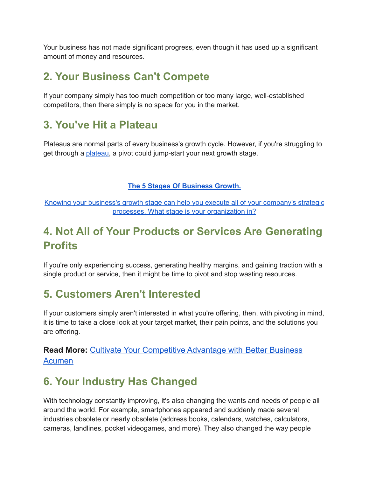Your business has not made significant progress, even though it has used up a significant amount of money and resources.

#### **2. Your Business Can't Compete**

If your company simply has too much competition or too many large, well-established competitors, then there simply is no space for you in the market.

#### **3. You've Hit a Plateau**

Plateaus are normal parts of every business's growth cycle. However, if you're struggling to get through a *plateau*, a pivot could jump-start your next growth stage.

#### **The 5 Stages Of [Business](https://www.growthforce.com/blog/5-stages-business-growth) Growth.**

Knowing your business's growth stage can help you execute all of your [company's](https://www.growthforce.com/blog/5-stages-business-growth) strategic processes. What stage is your [organization](https://www.growthforce.com/blog/5-stages-business-growth) in?

#### **4. Not All of Your Products or Services Are Generating Profits**

If you're only experiencing success, generating healthy margins, and gaining traction with a single product or service, then it might be time to pivot and stop wasting resources.

#### **5. Customers Aren't Interested**

If your customers simply aren't interested in what you're offering, then, with pivoting in mind, it is time to take a close look at your target market, their pain points, and the solutions you are offering.

#### **Read More:** [Cultivate Your Competitive Advantage with](https://www.growthforce.com/blog/cultivate-your-competitive-advantage-with-better-business-acumen) Better Business [Acumen](https://www.growthforce.com/blog/cultivate-your-competitive-advantage-with-better-business-acumen)

#### **6. Your Industry Has Changed**

With technology constantly improving, it's also changing the wants and needs of people all around the world. For example, smartphones appeared and suddenly made several industries obsolete or nearly obsolete (address books, calendars, watches, calculators, cameras, landlines, pocket videogames, and more). They also changed the way people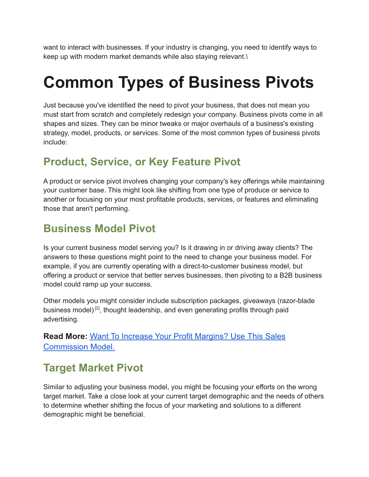want to interact with businesses. If your industry is changing, you need to identify ways to keep up with modern market demands while also staying relevant.\

### **Common Types of Business Pivots**

Just because you've identified the need to pivot your business, that does not mean you must start from scratch and completely redesign your company. Business pivots come in all shapes and sizes. They can be minor tweaks or major overhauls of a business's existing strategy, model, products, or services. Some of the most common types of business pivots include:

#### **Product, Service, or Key Feature Pivot**

A product or service pivot involves changing your company's key offerings while maintaining your customer base. This might look like shifting from one type of produce or service to another or focusing on your most profitable products, services, or features and eliminating those that aren't performing.

#### **Business Model Pivot**

Is your current business model serving you? Is it drawing in or driving away clients? The answers to these questions might point to the need to change your business model. For example, if you are currently operating with a direct-to-customer business model, but offering a product or service that better serves businesses, then pivoting to a B2B business model could ramp up your success.

Other models you might consider include subscription packages, giveaways (razor-blade business model)<sup>[2]</sup>, thought leadership, and even generating profits through paid advertising.

**Read More:** [Want To Increase Your Profit Margins? Use](https://www.growthforce.com/blog/increase-profit-margins-this-sales-commission-model) This Sales [Commission Model.](https://www.growthforce.com/blog/increase-profit-margins-this-sales-commission-model)

#### **Target Market Pivot**

Similar to adjusting your business model, you might be focusing your efforts on the wrong target market. Take a close look at your current target demographic and the needs of others to determine whether shifting the focus of your marketing and solutions to a different demographic might be beneficial.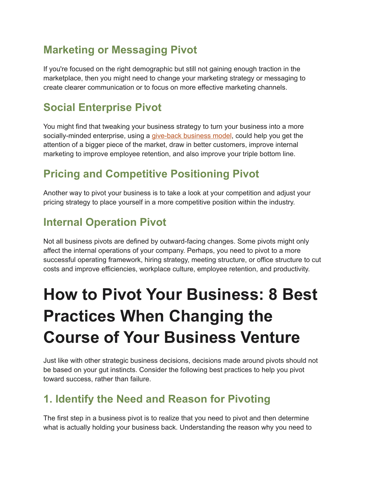#### **Marketing or Messaging Pivot**

If you're focused on the right demographic but still not gaining enough traction in the marketplace, then you might need to change your marketing strategy or messaging to create clearer communication or to focus on more effective marketing channels.

### **Social Enterprise Pivot**

You might find that tweaking your business strategy to turn your business into a more socially-minded enterprise, using a [give-back](https://www.growthforce.com/path-to-profit?wchannelid=t4nfrw27km&wmediaid=90e9it7cat) business model, could help you get the attention of a bigger piece of the market, draw in better customers, improve internal marketing to improve employee retention, and also improve your triple bottom line.

### **Pricing and Competitive Positioning Pivot**

Another way to pivot your business is to take a look at your competition and adjust your pricing strategy to place yourself in a more competitive position within the industry.

### **Internal Operation Pivot**

Not all business pivots are defined by outward-facing changes. Some pivots might only affect the internal operations of your company. Perhaps, you need to pivot to a more successful operating framework, hiring strategy, meeting structure, or office structure to cut costs and improve efficiencies, workplace culture, employee retention, and productivity.

# **How to Pivot Your Business: 8 Best Practices When Changing the Course of Your Business Venture**

Just like with other strategic business decisions, decisions made around pivots should not be based on your gut instincts. Consider the following best practices to help you pivot toward success, rather than failure.

#### **1. Identify the Need and Reason for Pivoting**

The first step in a business pivot is to realize that you need to pivot and then determine what is actually holding your business back. Understanding the reason why you need to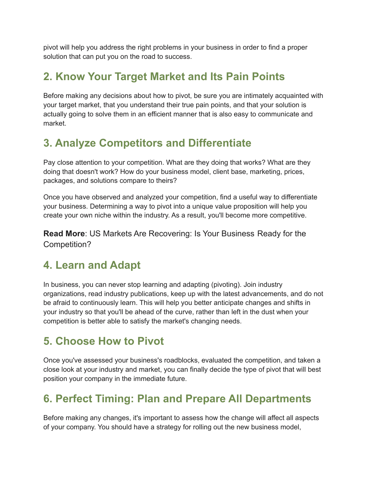pivot will help you address the right problems in your business in order to find a proper solution that can put you on the road to success.

#### **2. Know Your Target Market and Its Pain Points**

Before making any decisions about how to pivot, be sure you are intimately acquainted with your target market, that you understand their true pain points, and that your solution is actually going to solve them in an efficient manner that is also easy to communicate and market.

#### **3. Analyze Competitors and Differentiate**

Pay close attention to your competition. What are they doing that works? What are they doing that doesn't work? How do your business model, client base, marketing, prices, packages, and solutions compare to theirs?

Once you have observed and analyzed your competition, find a useful way to differentiate your business. Determining a way to pivot into a unique value proposition will help you create your own niche within the industry. As a result, you'll become more competitive.

**Read More**: US Markets Are Recovering: Is Your Business Ready for the Competition?

#### **4. Learn and Adapt**

In business, you can never stop learning and adapting (pivoting). Join industry organizations, read industry publications, keep up with the latest advancements, and do not be afraid to continuously learn. This will help you better anticipate changes and shifts in your industry so that you'll be ahead of the curve, rather than left in the dust when your competition is better able to satisfy the market's changing needs.

#### **5. Choose How to Pivot**

Once you've assessed your business's roadblocks, evaluated the competition, and taken a close look at your industry and market, you can finally decide the type of pivot that will best position your company in the immediate future.

#### **6. Perfect Timing: Plan and Prepare All Departments**

Before making any changes, it's important to assess how the change will affect all aspects of your company. You should have a strategy for rolling out the new business model,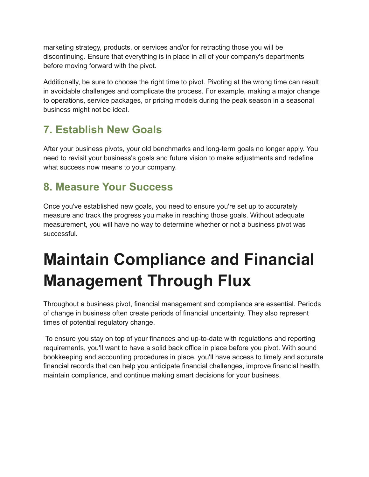marketing strategy, products, or services and/or for retracting those you will be discontinuing. Ensure that everything is in place in all of your company's departments before moving forward with the pivot.

Additionally, be sure to choose the right time to pivot. Pivoting at the wrong time can result in avoidable challenges and complicate the process. For example, making a major change to operations, service packages, or pricing models during the peak season in a seasonal business might not be ideal.

### **7. Establish New Goals**

After your business pivots, your old benchmarks and long-term goals no longer apply. You need to revisit your business's goals and future vision to make adjustments and redefine what success now means to your company.

#### **8. Measure Your Success**

Once you've established new goals, you need to ensure you're set up to accurately measure and track the progress you make in reaching those goals. Without adequate measurement, you will have no way to determine whether or not a business pivot was successful.

# **Maintain Compliance and Financial Management Through Flux**

Throughout a business pivot, financial management and compliance are essential. Periods of change in business often create periods of financial uncertainty. They also represent times of potential regulatory change.

To ensure you stay on top of your finances and up-to-date with regulations and reporting requirements, you'll want to have a solid back office in place before you pivot. With sound bookkeeping and accounting procedures in place, you'll have access to timely and accurate financial records that can help you anticipate financial challenges, improve financial health, maintain compliance, and continue making smart decisions for your business.